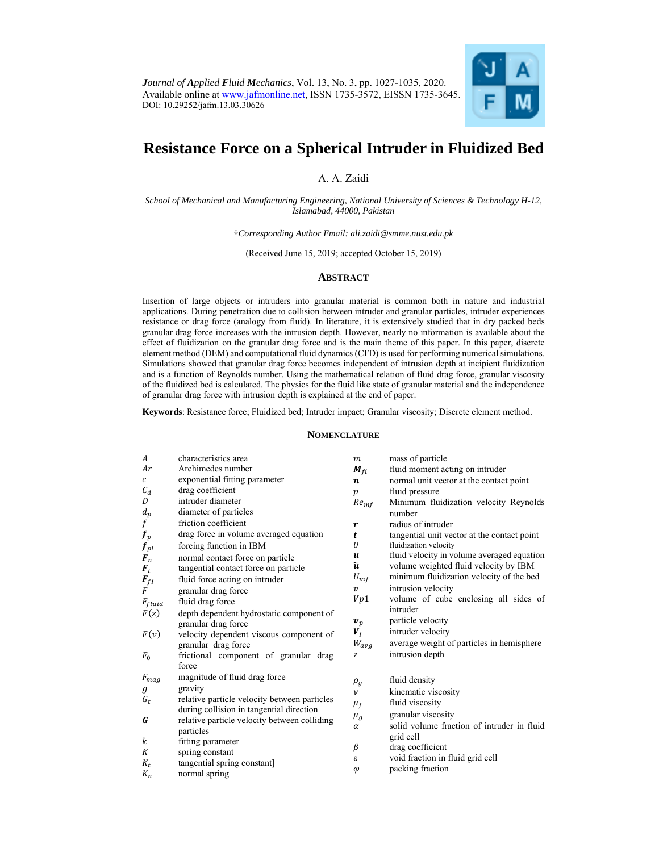

# **Resistance Force on a Spherical Intruder in Fluidized Bed**

## A. A. Zaidi

*School of Mechanical and Manufacturing Engineering, National University of Sciences & Technology H-12, Islamabad, 44000, Pakistan* 

## †*Corresponding Author Email: ali.zaidi@smme.nust.edu.pk*

(Received June 15, 2019; accepted October 15, 2019)

## **ABSTRACT**

Insertion of large objects or intruders into granular material is common both in nature and industrial applications. During penetration due to collision between intruder and granular particles, intruder experiences resistance or drag force (analogy from fluid). In literature, it is extensively studied that in dry packed beds granular drag force increases with the intrusion depth. However, nearly no information is available about the effect of fluidization on the granular drag force and is the main theme of this paper. In this paper, discrete element method (DEM) and computational fluid dynamics (CFD) is used for performing numerical simulations. Simulations showed that granular drag force becomes independent of intrusion depth at incipient fluidization and is a function of Reynolds number. Using the mathematical relation of fluid drag force, granular viscosity of the fluidized bed is calculated. The physics for the fluid like state of granular material and the independence of granular drag force with intrusion depth is explained at the end of paper.

**Keywords**: Resistance force; Fluidized bed; Intruder impact; Granular viscosity; Discrete element method.

## **NOMENCLATURE**

| $\boldsymbol{A}$      | characteristics area                         | $\boldsymbol{m}$           | mass of particle                            |
|-----------------------|----------------------------------------------|----------------------------|---------------------------------------------|
| Ar                    | Archimedes number                            | $\textbf{\textit{M}}_{fi}$ | fluid moment acting on intruder             |
| С                     | exponential fitting parameter                | $\boldsymbol{n}$           | normal unit vector at the contact point     |
| $C_d$                 | drag coefficient                             | $\boldsymbol{p}$           | fluid pressure                              |
| D                     | intruder diameter                            | $Re_{mf}$                  | Minimum fluidization velocity Reynolds      |
| $d_p$                 | diameter of particles                        |                            | number                                      |
| f                     | friction coefficient                         | r                          | radius of intruder                          |
| $f_p$                 | drag force in volume averaged equation       | t                          | tangential unit vector at the contact point |
| $\boldsymbol{f}_{pl}$ | forcing function in IBM                      | U                          | fluidization velocity                       |
| $\boldsymbol{F}_n$    | normal contact force on particle             | u                          | fluid velocity in volume averaged equation  |
| $F_t$                 | tangential contact force on particle         | ũ                          | volume weighted fluid velocity by IBM       |
| $F_{fI}$              | fluid force acting on intruder               | $U_{mf}$                   | minimum fluidization velocity of the bed    |
| $\boldsymbol{F}$      | granular drag force                          | $\boldsymbol{v}$           | intrusion velocity                          |
| $F_{fluid}$           | fluid drag force                             | Vp1                        | volume of cube enclosing all sides of       |
| F(z)                  | depth dependent hydrostatic component of     |                            | intruder                                    |
|                       | granular drag force                          | $v_{v}$                    | particle velocity                           |
| F(v)                  | velocity dependent viscous component of      | $V_I$                      | intruder velocity                           |
|                       | granular drag force                          | $W_{avg}$                  | average weight of particles in hemisphere   |
| $F_0$                 | frictional component of granular drag        | z                          | intrusion depth                             |
|                       | force                                        |                            |                                             |
| $F_{mag}$             | magnitude of fluid drag force                | $\rho_g$                   | fluid density                               |
| g                     | gravity                                      | ν                          | kinematic viscosity                         |
| $G_t$                 | relative particle velocity between particles | $\mu_f$                    | fluid viscosity                             |
|                       | during collision in tangential direction     |                            | granular viscosity                          |
| G                     | relative particle velocity between colliding | $\mu_g$                    | solid volume fraction of intruder in fluid  |
|                       | particles                                    | α                          | grid cell                                   |
| k                     | fitting parameter                            | β                          | drag coefficient                            |
| К                     | spring constant                              | ε                          | void fraction in fluid grid cell            |
| $K_t$                 | tangential spring constant]                  | $\varphi$                  | packing fraction                            |
| $K_n$                 | normal spring                                |                            |                                             |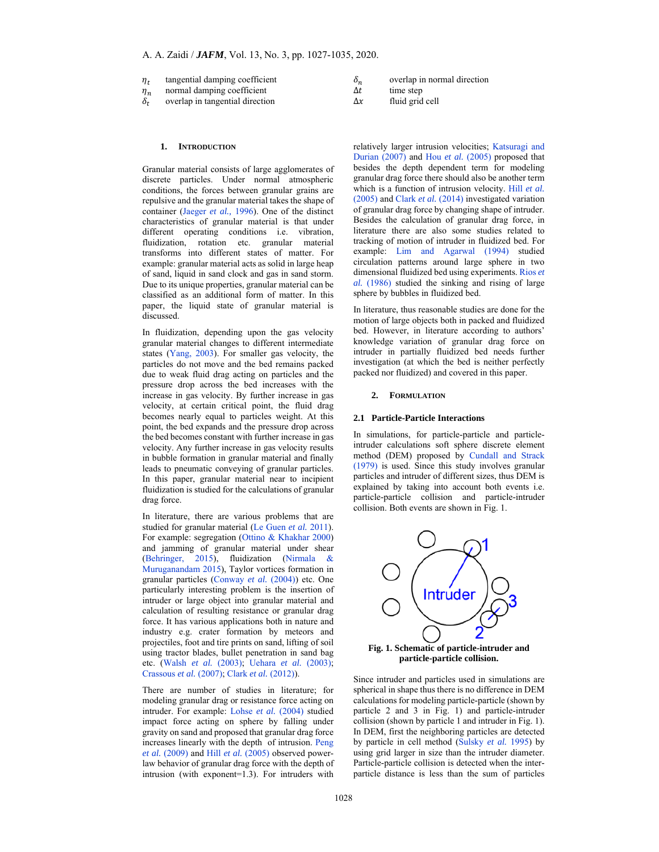- $\eta_t$  tangential damping coefficient
- $\eta_n$  normal damping coefficient  $\delta_t$  overlap in tangential direction  $\delta_n$  overlap in normal direction<br>  $\Delta t$  time step time step  $\Delta x$  fluid grid cell
- 

#### **1. INTRODUCTION**

Granular material consists of large agglomerates of discrete particles. Under normal atmospheric conditions, the forces between granular grains are repulsive and the granular material takes the shape of container (Jaeger *et al.,* 1996). One of the distinct characteristics of granular material is that under different operating conditions i.e. vibration, fluidization, rotation etc. granular material transforms into different states of matter. For example: granular material acts as solid in large heap of sand, liquid in sand clock and gas in sand storm. Due to its unique properties, granular material can be classified as an additional form of matter. In this paper, the liquid state of granular material is discussed.

In fluidization, depending upon the gas velocity granular material changes to different intermediate states (Yang, 2003). For smaller gas velocity, the particles do not move and the bed remains packed due to weak fluid drag acting on particles and the pressure drop across the bed increases with the increase in gas velocity. By further increase in gas velocity, at certain critical point, the fluid drag becomes nearly equal to particles weight. At this point, the bed expands and the pressure drop across the bed becomes constant with further increase in gas velocity. Any further increase in gas velocity results in bubble formation in granular material and finally leads to pneumatic conveying of granular particles. In this paper, granular material near to incipient fluidization is studied for the calculations of granular drag force.

In literature, there are various problems that are studied for granular material (Le Guen *et al.* 2011). For example: segregation (Ottino & Khakhar 2000) and jamming of granular material under shear (Behringer, 2015), fluidization (Nirmala & Muruganandam 2015), Taylor vortices formation in granular particles (Conway *et al.* (2004)) etc. One particularly interesting problem is the insertion of intruder or large object into granular material and calculation of resulting resistance or granular drag force. It has various applications both in nature and industry e.g. crater formation by meteors and projectiles, foot and tire prints on sand, lifting of soil using tractor blades, bullet penetration in sand bag etc. (Walsh *et al.* (2003); Uehara *et al.* (2003); Crassous *et al.* (2007); Clark *et al.* (2012)).

There are number of studies in literature; for modeling granular drag or resistance force acting on intruder. For example: Lohse *et al.* (2004) studied impact force acting on sphere by falling under gravity on sand and proposed that granular drag force increases linearly with the depth of intrusion. Peng *et al.* (2009) and Hill *et al.* (2005) observed powerlaw behavior of granular drag force with the depth of intrusion (with exponent=1.3). For intruders with

relatively larger intrusion velocities; Katsuragi and Durian (2007) and Hou *et al.* (2005) proposed that besides the depth dependent term for modeling granular drag force there should also be another term which is a function of intrusion velocity. Hill *et al.* (2005) and Clark *et al.* (2014) investigated variation of granular drag force by changing shape of intruder. Besides the calculation of granular drag force, in literature there are also some studies related to tracking of motion of intruder in fluidized bed. For example: Lim and Agarwal (1994) studied circulation patterns around large sphere in two dimensional fluidized bed using experiments. Rios *et al.* (1986) studied the sinking and rising of large sphere by bubbles in fluidized bed.

In literature, thus reasonable studies are done for the motion of large objects both in packed and fluidized bed. However, in literature according to authors' knowledge variation of granular drag force on intruder in partially fluidized bed needs further investigation (at which the bed is neither perfectly packed nor fluidized) and covered in this paper.

## **2. FORMULATION**

#### **2.1 Particle-Particle Interactions**

In simulations, for particle-particle and particleintruder calculations soft sphere discrete element method (DEM) proposed by Cundall and Strack (1979) is used. Since this study involves granular particles and intruder of different sizes, thus DEM is explained by taking into account both events i.e. particle-particle collision and particle-intruder collision. Both events are shown in Fig. 1.



Since intruder and particles used in simulations are spherical in shape thus there is no difference in DEM calculations for modeling particle-particle (shown by particle 2 and 3 in Fig. 1) and particle-intruder collision (shown by particle 1 and intruder in Fig. 1). In DEM, first the neighboring particles are detected by particle in cell method (Sulsky *et al.* 1995) by using grid larger in size than the intruder diameter. Particle-particle collision is detected when the interparticle distance is less than the sum of particles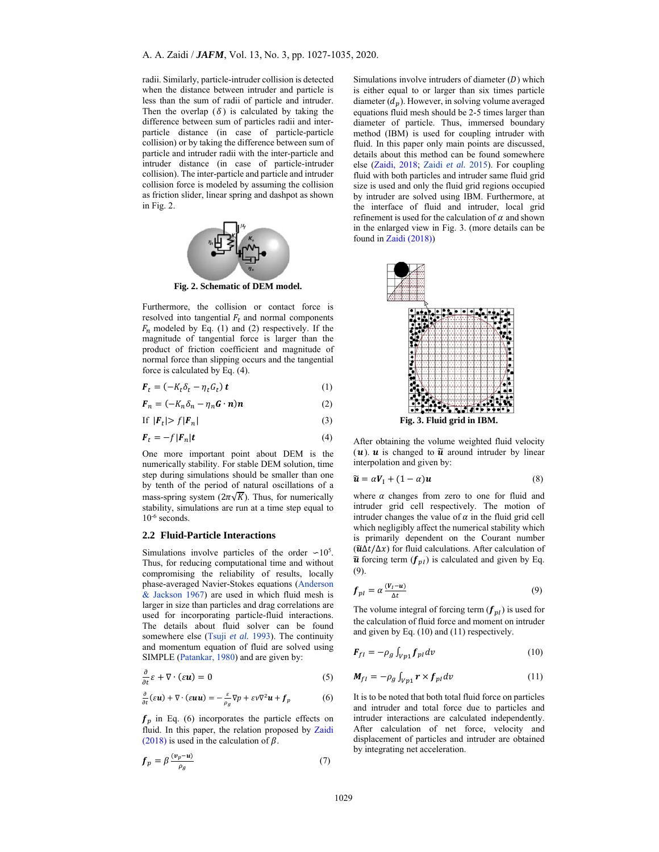radii. Similarly, particle-intruder collision is detected when the distance between intruder and particle is less than the sum of radii of particle and intruder. Then the overlap  $(\delta)$  is calculated by taking the difference between sum of particles radii and interparticle distance (in case of particle-particle collision) or by taking the difference between sum of particle and intruder radii with the inter-particle and intruder distance (in case of particle-intruder collision). The inter-particle and particle and intruder collision force is modeled by assuming the collision as friction slider, linear spring and dashpot as shown in Fig. 2.



Furthermore, the collision or contact force is resolved into tangential  $F_t$  and normal components  $F_n$  modeled by Eq. (1) and (2) respectively. If the magnitude of tangential force is larger than the product of friction coefficient and magnitude of normal force than slipping occurs and the tangential

$$
\boldsymbol{F}_t = (-K_t \delta_t - \eta_t G_t) \boldsymbol{t} \tag{1}
$$

force is calculated by Eq. (4).

$$
\boldsymbol{F}_n = (-K_n \delta_n - \eta_n \boldsymbol{G} \cdot \boldsymbol{n}) \boldsymbol{n}
$$
 (2)

$$
\text{If } |\mathbf{F}_t| > f |\mathbf{F}_n| \tag{3}
$$

$$
\boldsymbol{F}_t = -f|\boldsymbol{F}_n|\boldsymbol{t} \tag{4}
$$

One more important point about DEM is the numerically stability. For stable DEM solution, time step during simulations should be smaller than one by tenth of the period of natural oscillations of a mass-spring system  $(2\pi\sqrt{K})$ . Thus, for numerically stability, simulations are run at a time step equal to  $10^{-6}$  seconds.

#### **2.2 Fluid-Particle Interactions**

Simulations involve particles of the order  $~\sim 10^5$ . Thus, for reducing computational time and without compromising the reliability of results, locally phase-averaged Navier-Stokes equations (Anderson & Jackson 1967) are used in which fluid mesh is larger in size than particles and drag correlations are used for incorporating particle-fluid interactions. The details about fluid solver can be found somewhere else (Tsuji *et al.* 1993). The continuity and momentum equation of fluid are solved using SIMPLE (Patankar, 1980) and are given by:

$$
\frac{\partial}{\partial t}\varepsilon + \nabla \cdot (\varepsilon \mathbf{u}) = 0 \tag{5}
$$

$$
\frac{\partial}{\partial t}(\varepsilon \mathbf{u}) + \nabla \cdot (\varepsilon \mathbf{u} \mathbf{u}) = -\frac{\varepsilon}{\rho_g} \nabla p + \varepsilon v \nabla^2 \mathbf{u} + \mathbf{f}_p \tag{6}
$$

 $f_p$  in Eq. (6) incorporates the particle effects on fluid. In this paper, the relation proposed by Zaidi (2018) is used in the calculation of  $\beta$ .

$$
f_p = \beta \frac{(v_p - u)}{\rho_g} \tag{7}
$$

Simulations involve intruders of diameter  $(D)$  which is either equal to or larger than six times particle diameter  $(d_p)$ . However, in solving volume averaged equations fluid mesh should be 2-5 times larger than diameter of particle. Thus, immersed boundary method (IBM) is used for coupling intruder with fluid. In this paper only main points are discussed, details about this method can be found somewhere else (Zaidi, 2018; Zaidi *et al.* 2015). For coupling fluid with both particles and intruder same fluid grid size is used and only the fluid grid regions occupied by intruder are solved using IBM. Furthermore, at the interface of fluid and intruder, local grid refinement is used for the calculation of  $\alpha$  and shown in the enlarged view in Fig. 3. (more details can be found in Zaidi (2018))



After obtaining the volume weighted fluid velocity ( $u$ ).  $u$  is changed to  $\tilde{u}$  around intruder by linear interpolation and given by:

$$
\widetilde{\boldsymbol{u}} = \alpha \boldsymbol{V}_1 + (1 - \alpha) \boldsymbol{u} \tag{8}
$$

where  $\alpha$  changes from zero to one for fluid and intruder grid cell respectively. The motion of intruder changes the value of  $\alpha$  in the fluid grid cell which negligibly affect the numerical stability which is primarily dependent on the Courant number  $(\tilde{\mathbf{u}}\Delta t/\Delta x)$  for fluid calculations. After calculation of  $\tilde{u}$  forcing term  $(f_{pl})$  is calculated and given by Eq. (9).

$$
f_{pl} = \alpha \frac{(V_l - u)}{\Delta t} \tag{9}
$$

The volume integral of forcing term  $(f_{pI})$  is used for the calculation of fluid force and moment on intruder and given by Eq. (10) and (11) respectively.

$$
\mathbf{F}_{fI} = -\rho_g \int_{Vp1} f_{pl} dv \tag{10}
$$

$$
\mathbf{M}_{fl} = -\rho_g \int_{Vp1} \mathbf{r} \times \mathbf{f}_{pl} dv \tag{11}
$$

It is to be noted that both total fluid force on particles and intruder and total force due to particles and intruder interactions are calculated independently. After calculation of net force, velocity and displacement of particles and intruder are obtained by integrating net acceleration.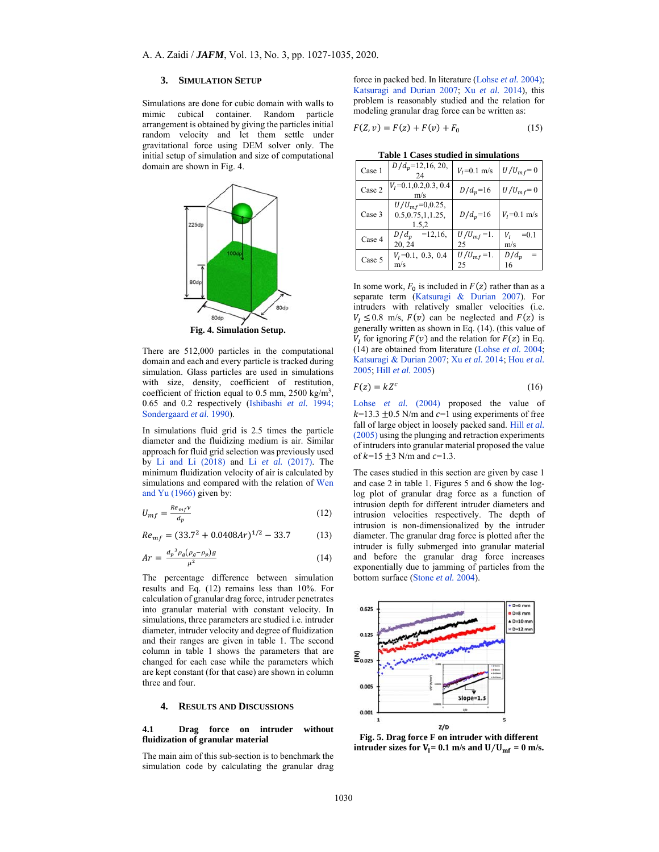## **3. SIMULATION SETUP**

Simulations are done for cubic domain with walls to mimic cubical container. Random particle arrangement is obtained by giving the particles initial random velocity and let them settle under gravitational force using DEM solver only. The initial setup of simulation and size of computational domain are shown in Fig. 4.



There are 512,000 particles in the computational domain and each and every particle is tracked during simulation. Glass particles are used in simulations with size, density, coefficient of restitution, coefficient of friction equal to  $0.5$  mm,  $2500$  kg/m<sup>3</sup>, 0.65 and 0.2 respectively (Ishibashi *et al.* 1994; Sondergaard *et al.* 1990).

In simulations fluid grid is 2.5 times the particle diameter and the fluidizing medium is air. Similar approach for fluid grid selection was previously used by Li and Li (2018) and Li *et al.* (2017). The minimum fluidization velocity of air is calculated by simulations and compared with the relation of Wen and Yu (1966) given by:

$$
U_{mf} = \frac{Re_{mf}v}{d_p} \tag{12}
$$

$$
Re_{mf} = (33.7^2 + 0.0408Ar)^{1/2} - 33.7
$$
 (13)

$$
Ar = \frac{d_p{}^3 \rho_g (\rho_g - \rho_p)g}{\mu^2} \tag{14}
$$

The percentage difference between simulation results and Eq. (12) remains less than 10%. For calculation of granular drag force, intruder penetrates into granular material with constant velocity. In simulations, three parameters are studied i.e. intruder diameter, intruder velocity and degree of fluidization and their ranges are given in table 1. The second column in table 1 shows the parameters that are changed for each case while the parameters which are kept constant (for that case) are shown in column three and four.

#### **4. RESULTS AND DISCUSSIONS**

## **4.1 Drag force on intruder without fluidization of granular material**

The main aim of this sub-section is to benchmark the simulation code by calculating the granular drag

force in packed bed. In literature (Lohse *et al.* 2004); Katsuragi and Durian 2007; Xu *et al.* 2014), this problem is reasonably studied and the relation for modeling granular drag force can be written as:

$$
F(Z, v) = F(z) + F(v) + F_0
$$
 (15)

**Table 1 Cases studied in simulations** 

| Case 1 | $D/d_p$ =12,16, 20,<br>24                             | $V_I = 0.1$ m/s        | $U/U_{mf} = 0$                  |
|--------|-------------------------------------------------------|------------------------|---------------------------------|
| Case 2 | $V_I$ =0.1,0.2,0.3, 0.4<br>m/s                        | $D/d_p = 16$           | $U/U_{mf} = 0$                  |
| Case 3 | $U/U_{mf} = 0.0.25$ ,<br>0.5, 0.75, 1, 1.25,<br>1.5,2 | $D/d_p = 16$           | $V_I = 0.1$ m/s                 |
| Case 4 | $=12,16,$<br>$D/d_n$<br>20, 24                        | $U/U_{mf} = 1$ .<br>25 | $=0.1$<br>V <sub>I</sub><br>m/s |
| Case 5 | $V_I$ =0.1, 0.3, 0.4<br>m/s                           | $U/U_{mf} = 1$ .<br>25 | $D/d_p$                         |

In some work,  $F_0$  is included in  $F(z)$  rather than as a separate term (Katsuragi & Durian 2007). For intruders with relatively smaller velocities (i.e.  $V_I \leq 0.8$  m/s,  $F(v)$  can be neglected and  $F(z)$  is generally written as shown in Eq. (14). (this value of  $V_I$  for ignoring  $F(v)$  and the relation for  $F(z)$  in Eq. (14) are obtained from literature (Lohse *et al.* 2004; Katsuragi & Durian 2007; Xu *et al.* 2014; Hou *et al.* 2005; Hill *et al.* 2005)

$$
F(z) = kZ^c \tag{16}
$$

Lohse et al. (2004) proposed the value of  $k=13.3 \pm 0.5$  N/m and  $c=1$  using experiments of free fall of large object in loosely packed sand. Hill *et al.* (2005) using the plunging and retraction experiments of intruders into granular material proposed the value of  $k=15 \pm 3$  N/m and  $c=1.3$ .

The cases studied in this section are given by case 1 and case 2 in table 1. Figures 5 and 6 show the loglog plot of granular drag force as a function of intrusion depth for different intruder diameters and intrusion velocities respectively. The depth of intrusion is non-dimensionalized by the intruder diameter. The granular drag force is plotted after the intruder is fully submerged into granular material and before the granular drag force increases exponentially due to jamming of particles from the bottom surface (Stone *et al.* 2004).



**Fig. 5. Drag force F on intruder with different intruder sizes for**  $V_l = 0.1$  **m/s and**  $U/U_{mf} = 0$  **m/s.**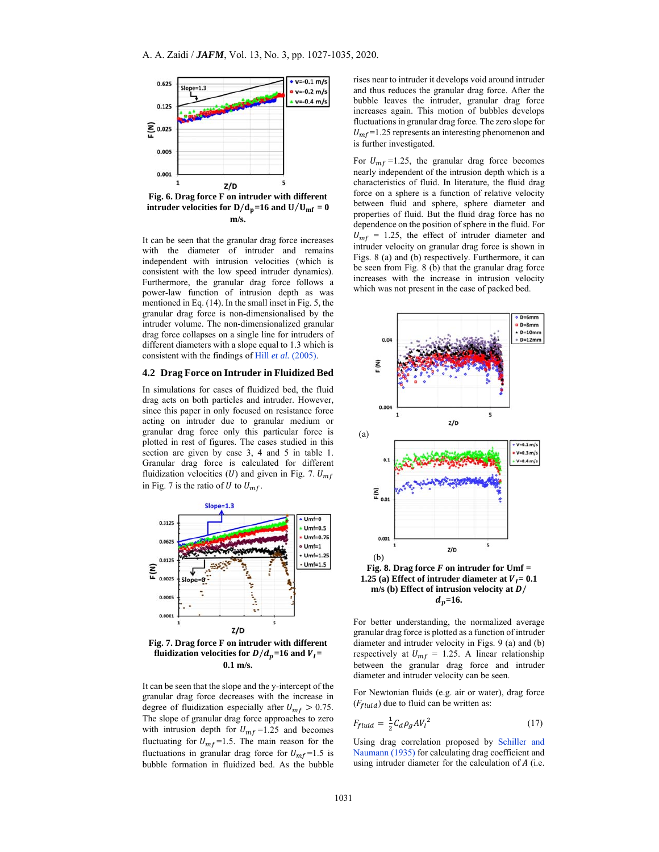

**Fig. 6. Drag force F on intruder with different intruder velocities for**  $D/d_p=16$  **and**  $U/U_{\text{mf}}=0$ **m/s.**

It can be seen that the granular drag force increases with the diameter of intruder and remains independent with intrusion velocities (which is consistent with the low speed intruder dynamics). Furthermore, the granular drag force follows a power-law function of intrusion depth as was mentioned in Eq. (14). In the small inset in Fig. 5, the granular drag force is non-dimensionalised by the intruder volume. The non-dimensionalized granular drag force collapses on a single line for intruders of different diameters with a slope equal to 1.3 which is consistent with the findings of Hill *et al.* (2005).

## **4.2 Drag Force on Intruder in Fluidized Bed**

In simulations for cases of fluidized bed, the fluid drag acts on both particles and intruder. However, since this paper in only focused on resistance force acting on intruder due to granular medium or granular drag force only this particular force is plotted in rest of figures. The cases studied in this section are given by case 3, 4 and 5 in table 1. Granular drag force is calculated for different fluidization velocities (*U*) and given in Fig. 7.  $U_{mf}$ in Fig. 7 is the ratio of U to  $U_{mf}$ .



**Fig. 7. Drag force F on intruder with different fluidization velocities for**  $D/d_p=16$  **and**  $V_I=$ **0.1 m/s.**

It can be seen that the slope and the y-intercept of the granular drag force decreases with the increase in degree of fluidization especially after  $U_{mf} > 0.75$ . The slope of granular drag force approaches to zero with intrusion depth for  $U_{mf}$  =1.25 and becomes fluctuating for  $U_{mf}$ =1.5. The main reason for the fluctuations in granular drag force for  $U_{mf}$ =1.5 is bubble formation in fluidized bed. As the bubble rises near to intruder it develops void around intruder and thus reduces the granular drag force. After the bubble leaves the intruder, granular drag force increases again. This motion of bubbles develops fluctuations in granular drag force. The zero slope for  $U_{mf}$ =1.25 represents an interesting phenomenon and is further investigated.

For  $U_{mf}$  =1.25, the granular drag force becomes nearly independent of the intrusion depth which is a characteristics of fluid. In literature, the fluid drag force on a sphere is a function of relative velocity between fluid and sphere, sphere diameter and properties of fluid. But the fluid drag force has no dependence on the position of sphere in the fluid. For  $U_{mf}$  = 1.25, the effect of intruder diameter and intruder velocity on granular drag force is shown in Figs. 8 (a) and (b) respectively. Furthermore, it can be seen from Fig. 8 (b) that the granular drag force increases with the increase in intrusion velocity which was not present in the case of packed bed.



**m/s (b) Effect of intrusion velocity at D/**  $d_p = 16$ .

For better understanding, the normalized average granular drag force is plotted as a function of intruder diameter and intruder velocity in Figs. 9 (a) and (b) respectively at  $U_{mf} = 1.25$ . A linear relationship between the granular drag force and intruder diameter and intruder velocity can be seen.

For Newtonian fluids (e.g. air or water), drag force  $(F_{fluid})$  due to fluid can be written as:

$$
F_{fluid} = \frac{1}{2} C_d \rho_g A V_l^2 \tag{17}
$$

Using drag correlation proposed by Schiller and Naumann (1935) for calculating drag coefficient and using intruder diameter for the calculation of  $A$  (i.e.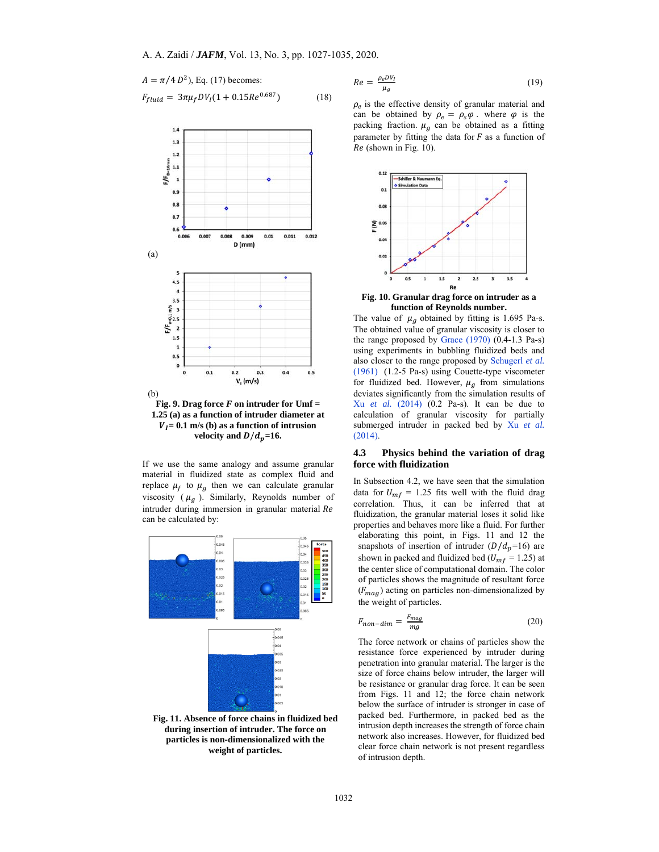$$
A = \pi/4 D^2
$$
, Eq. (17) becomes:  

$$
F_{fluid} = 3\pi \mu_f D V_I (1 + 0.15 Re^{0.687})
$$
(18)



velocity and  $D/d_p=16$ .

If we use the same analogy and assume granular material in fluidized state as complex fluid and replace  $\mu_f$  to  $\mu_g$  then we can calculate granular viscosity  $(\mu_g)$ . Similarly, Reynolds number of intruder during immersion in granular material  $Re$ can be calculated by:



**Fig. 11. Absence of force chains in fluidized bed during insertion of intruder. The force on particles is non-dimensionalized with the weight of particles.** 

$$
Re = \frac{\rho_e D V_I}{\mu_g} \tag{19}
$$

 $\rho_e$  is the effective density of granular material and can be obtained by  $\rho_e = \rho_s \varphi$ . where  $\varphi$  is the packing fraction.  $\mu_g$  can be obtained as a fitting parameter by fitting the data for  $F$  as a function of Re (shown in Fig. 10).



**Fig. 10. Granular drag force on intruder as a function of Reynolds number.**

The value of  $\mu_q$  obtained by fitting is 1.695 Pa-s. The obtained value of granular viscosity is closer to the range proposed by Grace (1970) (0.4-1.3 Pa-s) using experiments in bubbling fluidized beds and also closer to the range proposed by Schugerl *et al.* (1961) (1.2-5 Pa-s) using Couette-type viscometer for fluidized bed. However,  $\mu<sub>g</sub>$  from simulations deviates significantly from the simulation results of Xu *et al.* (2014) (0.2 Pa-s). It can be due to calculation of granular viscosity for partially submerged intruder in packed bed by Xu *et al.* (2014).

## **4.3 Physics behind the variation of drag force with fluidization**

In Subsection 4.2, we have seen that the simulation data for  $U_{mf}$  = 1.25 fits well with the fluid drag correlation. Thus, it can be inferred that at fluidization, the granular material loses it solid like properties and behaves more like a fluid. For further elaborating this point, in Figs. 11 and 12 the snapshots of insertion of intruder  $(D/d_p=16)$  are shown in packed and fluidized bed ( $U_{mf}$  = 1.25) at the center slice of computational domain. The color of particles shows the magnitude of resultant force  $(F_{mag})$  acting on particles non-dimensionalized by the weight of particles.

$$
F_{non-dim} = \frac{F_{mag}}{mg} \tag{20}
$$

The force network or chains of particles show the resistance force experienced by intruder during penetration into granular material. The larger is the size of force chains below intruder, the larger will be resistance or granular drag force. It can be seen from Figs. 11 and 12; the force chain network below the surface of intruder is stronger in case of packed bed. Furthermore, in packed bed as the intrusion depth increases the strength of force chain network also increases. However, for fluidized bed clear force chain network is not present regardless of intrusion depth.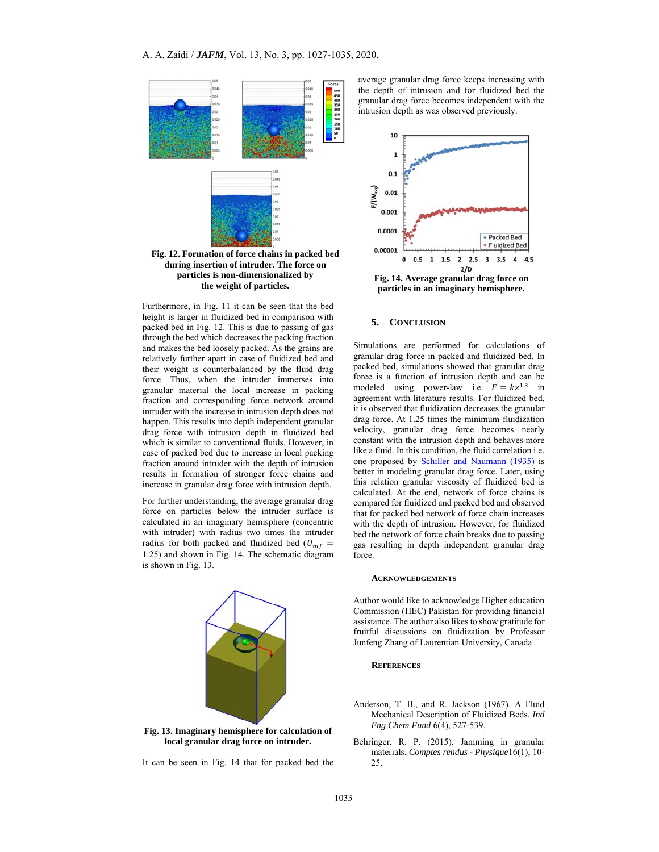

**Fig. 12. Formation of force chains in packed bed during insertion of intruder. The force on particles is non-dimensionalized by the weight of particles.**

Furthermore, in Fig. 11 it can be seen that the bed height is larger in fluidized bed in comparison with packed bed in Fig. 12. This is due to passing of gas through the bed which decreases the packing fraction and makes the bed loosely packed. As the grains are relatively further apart in case of fluidized bed and their weight is counterbalanced by the fluid drag force. Thus, when the intruder immerses into granular material the local increase in packing fraction and corresponding force network around intruder with the increase in intrusion depth does not happen. This results into depth independent granular drag force with intrusion depth in fluidized bed which is similar to conventional fluids. However, in case of packed bed due to increase in local packing fraction around intruder with the depth of intrusion results in formation of stronger force chains and increase in granular drag force with intrusion depth.

For further understanding, the average granular drag force on particles below the intruder surface is calculated in an imaginary hemisphere (concentric with intruder) with radius two times the intruder radius for both packed and fluidized bed ( $U_{mf}$  = 1.25) and shown in Fig. 14. The schematic diagram is shown in Fig. 13.



**Fig. 13. Imaginary hemisphere for calculation of local granular drag force on intruder.**

It can be seen in Fig. 14 that for packed bed the

average granular drag force keeps increasing with the depth of intrusion and for fluidized bed the granular drag force becomes independent with the intrusion depth as was observed previously.



## **5. CONCLUSION**

Simulations are performed for calculations of granular drag force in packed and fluidized bed. In packed bed, simulations showed that granular drag force is a function of intrusion depth and can be modeled using power-law i.e.  $F = kz^{1.3}$  in agreement with literature results. For fluidized bed, it is observed that fluidization decreases the granular drag force. At 1.25 times the minimum fluidization velocity, granular drag force becomes nearly constant with the intrusion depth and behaves more like a fluid. In this condition, the fluid correlation i.e. one proposed by Schiller and Naumann (1935) is better in modeling granular drag force. Later, using this relation granular viscosity of fluidized bed is calculated. At the end, network of force chains is compared for fluidized and packed bed and observed that for packed bed network of force chain increases with the depth of intrusion. However, for fluidized bed the network of force chain breaks due to passing gas resulting in depth independent granular drag force.

### **ACKNOWLEDGEMENTS**

Author would like to acknowledge Higher education Commission (HEC) Pakistan for providing financial assistance. The author also likes to show gratitude for fruitful discussions on fluidization by Professor Junfeng Zhang of Laurentian University, Canada.

#### **REFERENCES**

- Anderson, T. B., and R. Jackson (1967). A Fluid Mechanical Description of Fluidized Beds. *Ind Eng Chem Fund* 6(4), 527-539.
- Behringer, R. P. (2015). Jamming in granular materials. *Comptes rendus - Physique*16(1), 10- 25.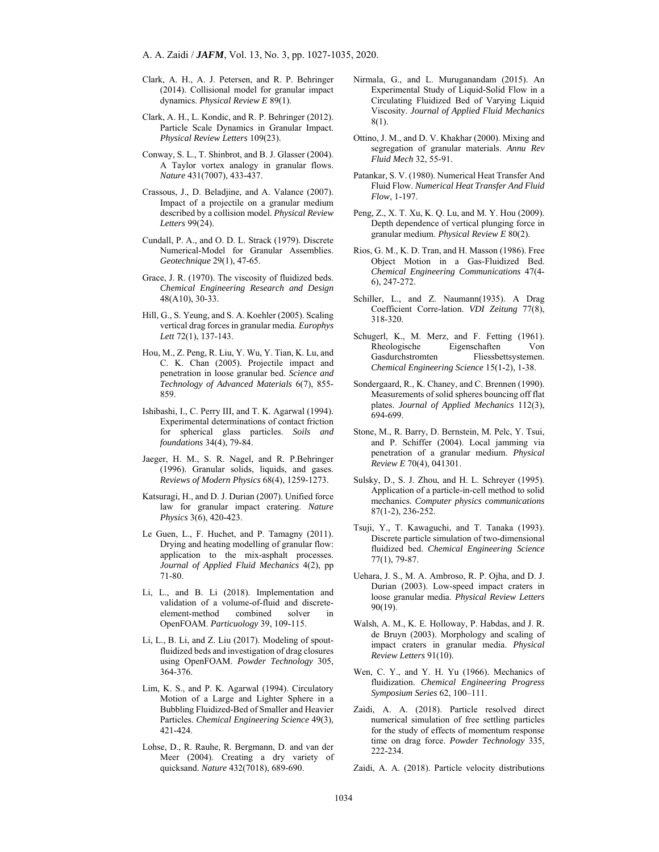- Clark, A. H., A. J. Petersen, and R. P. Behringer (2014). Collisional model for granular impact dynamics. *Physical Review E* 89(1).
- Clark, A. H., L. Kondic, and R. P. Behringer (2012). Particle Scale Dynamics in Granular Impact. *Physical Review Letters* 109(23).
- Conway, S. L., T. Shinbrot, and B. J. Glasser (2004). A Taylor vortex analogy in granular flows. *Nature* 431(7007), 433-437.
- Crassous, J., D. Beladjine, and A. Valance (2007). Impact of a projectile on a granular medium described by a collision model. *Physical Review Letters* 99(24).
- Cundall, P. A., and O. D. L. Strack (1979). Discrete Numerical-Model for Granular Assemblies. *Geotechnique* 29(1), 47-65.
- Grace, J. R. (1970). The viscosity of fluidized beds. *Chemical Engineering Research and Design* 48(A10), 30-33.
- Hill, G., S. Yeung, and S. A. Koehler (2005). Scaling vertical drag forces in granular media. *Europhys Lett* 72(1), 137-143.
- Hou, M., Z. Peng, R. Liu, Y. Wu, Y. Tian, K. Lu, and C. K. Chan (2005). Projectile impact and penetration in loose granular bed. *Science and Technology of Advanced Materials* 6(7), 855- 859.
- Ishibashi, I., C. Perry III, and T. K. Agarwal (1994). Experimental determinations of contact friction for spherical glass particles. *Soils and foundations* 34(4), 79-84.
- Jaeger, H. M., S. R. Nagel, and R. P.Behringer (1996). Granular solids, liquids, and gases. *Reviews of Modern Physics* 68(4), 1259-1273.
- Katsuragi, H., and D. J. Durian (2007). Unified force law for granular impact cratering. *Nature Physics* 3(6), 420-423.
- Le Guen, L., F. Huchet, and P. Tamagny (2011). Drying and heating modelling of granular flow: application to the mix-asphalt processes. *Journal of Applied Fluid Mechanics* 4(2), pp 71-80.
- Li, L., and B. Li (2018). Implementation and validation of a volume-of-fluid and discreteelement-method combined solver in OpenFOAM. *Particuology* 39, 109-115.
- Li, L., B. Li, and Z. Liu (2017). Modeling of spoutfluidized beds and investigation of drag closures using OpenFOAM. *Powder Technology* 305, 364-376.
- Lim, K. S., and P. K. Agarwal (1994). Circulatory Motion of a Large and Lighter Sphere in a Bubbling Fluidized-Bed of Smaller and Heavier Particles. *Chemical Engineering Science* 49(3), 421-424.
- Lohse, D., R. Rauhe, R. Bergmann, D. and van der Meer (2004). Creating a dry variety of quicksand. *Nature* 432(7018), 689-690.
- Nirmala, G., and L. Muruganandam (2015). An Experimental Study of Liquid-Solid Flow in a Circulating Fluidized Bed of Varying Liquid Viscosity. *Journal of Applied Fluid Mechanics* 8(1).
- Ottino, J. M., and D. V. Khakhar (2000). Mixing and segregation of granular materials. *Annu Rev Fluid Mech* 32, 55-91.
- Patankar, S. V. (1980). Numerical Heat Transfer And Fluid Flow. *Numerical Heat Transfer And Fluid Flow*, 1-197.
- Peng, Z., X. T. Xu, K. Q. Lu, and M. Y. Hou (2009). Depth dependence of vertical plunging force in granular medium. *Physical Review E* 80(2).
- Rios, G. M., K. D. Tran, and H. Masson (1986). Free Object Motion in a Gas-Fluidized Bed. *Chemical Engineering Communications* 47(4- 6), 247-272.
- Schiller, L., and Z. Naumann(1935). A Drag Coefficient Corre-lation. *VDI Zeitung* 77(8), 318-320.
- Schugerl, K., M. Merz, and F. Fetting (1961). Rheologische Eigenschaften Von Gasdurchstromten Fliessbettsystemen. *Chemical Engineering Science* 15(1-2), 1-38.
- Sondergaard, R., K. Chaney, and C. Brennen (1990). Measurements of solid spheres bouncing off flat plates. *Journal of Applied Mechanics* 112(3), 694-699.
- Stone, M., R. Barry, D. Bernstein, M. Pelc, Y. Tsui, and P. Schiffer (2004). Local jamming via penetration of a granular medium. *Physical Review E* 70(4), 041301.
- Sulsky, D., S. J. Zhou, and H. L. Schreyer (1995). Application of a particle-in-cell method to solid mechanics. *Computer physics communications* 87(1-2), 236-252.
- Tsuji, Y., T. Kawaguchi, and T. Tanaka (1993). Discrete particle simulation of two-dimensional fluidized bed. *Chemical Engineering Science*  77(1), 79-87.
- Uehara, J. S., M. A. Ambroso, R. P. Ojha, and D. J. Durian (2003). Low-speed impact craters in loose granular media. *Physical Review Letters* 90(19).
- Walsh, A. M., K. E. Holloway, P. Habdas, and J. R. de Bruyn (2003). Morphology and scaling of impact craters in granular media. *Physical Review Letters* 91(10).
- Wen, C. Y., and Y. H. Yu (1966). Mechanics of fluidization. *Chemical Engineering Progress Symposium Series* 62, 100–111.
- Zaidi, A. A. (2018). Particle resolved direct numerical simulation of free settling particles for the study of effects of momentum response time on drag force. *Powder Technology* 335, 222-234.
- Zaidi, A. A. (2018). Particle velocity distributions